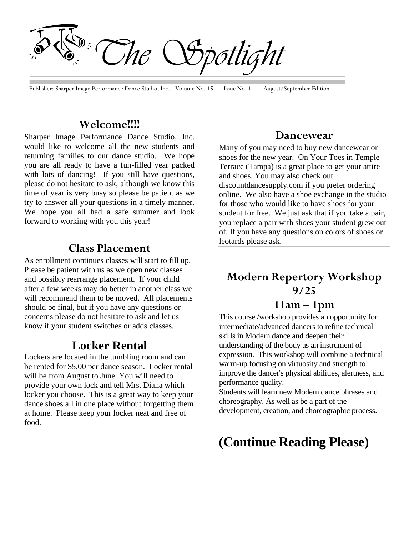*The Spotlight*

Publisher: Sharper Image Performance Dance Studio, Inc. Volume No. 15 Issue No. 1 August/September Edition

#### **Welcome!!!!**

Sharper Image Performance Dance Studio, Inc. would like to welcome all the new students and returning families to our dance studio. We hope you are all ready to have a fun-filled year packed with lots of dancing! If you still have questions, please do not hesitate to ask, although we know this time of year is very busy so please be patient as we try to answer all your questions in a timely manner. We hope you all had a safe summer and look forward to working with you this year!

#### **Class Placement**

As enrollment continues classes will start to fill up. Please be patient with us as we open new classes and possibly rearrange placement. If your child after a few weeks may do better in another class we will recommend them to be moved. All placements should be final, but if you have any questions or concerns please do not hesitate to ask and let us know if your student switches or adds classes.

### **Locker Rental**

Lockers are located in the tumbling room and can be rented for \$5.00 per dance season. Locker rental will be from August to June. You will need to provide your own lock and tell Mrs. Diana which locker you choose. This is a great way to keep your dance shoes all in one place without forgetting them at home. Please keep your locker neat and free of food.

#### **Dancewear**

Many of you may need to buy new dancewear or shoes for the new year. On Your Toes in Temple Terrace (Tampa) is a great place to get your attire and shoes. You may also check out discountdancesupply.com if you prefer ordering online. We also have a shoe exchange in the studio for those who would like to have shoes for your student for free. We just ask that if you take a pair, you replace a pair with shoes your student grew out of. If you have any questions on colors of shoes or leotards please ask.

# **Modern Repertory Workshop 9/25**

## **11am – 1pm**

This course /workshop provides an opportunity for intermediate/advanced dancers to refine technical skills in Modern dance and deepen their understanding of the body as an instrument of expression. This workshop will combine a technical warm-up focusing on virtuosity and strength to improve the dancer's physical abilities, alertness, and performance quality.

Students will learn new Modern dance phrases and choreography. As well as be a part of the development, creation, and choreographic process.

## **(Continue Reading Please)**